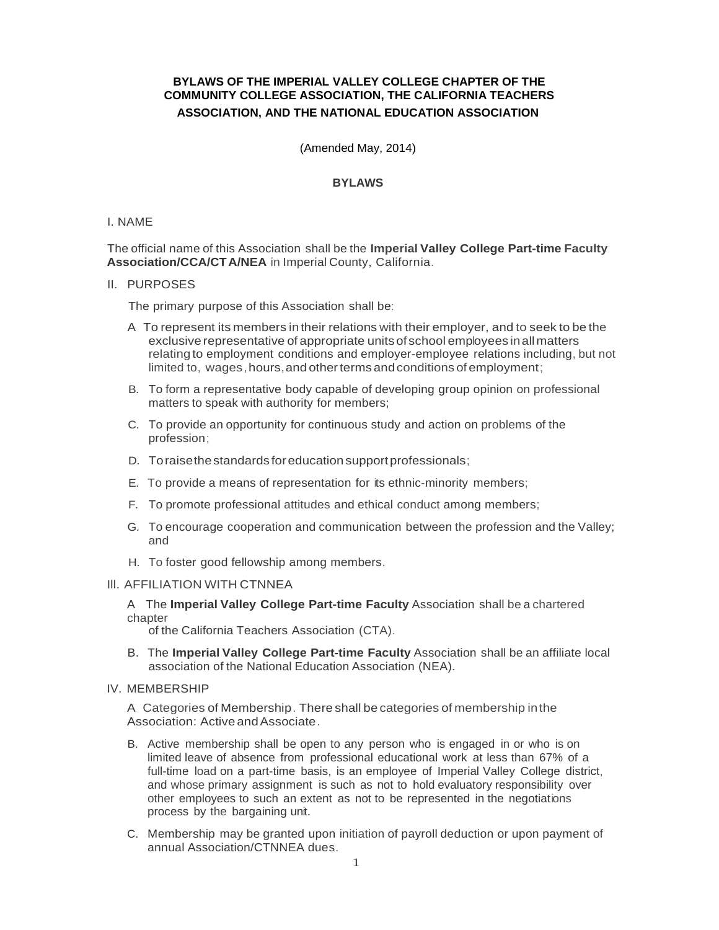# **BYLAWS OF THE IMPERIAL VALLEY COLLEGE CHAPTER OF THE COMMUNITY COLLEGE ASSOCIATION, THE CALIFORNIA TEACHERS ASSOCIATION, AND THE NATIONAL EDUCATION ASSOCIATION**

(Amended May, 2014)

## **BYLAWS**

### I. NAME

The official name of this Association shall be the **Imperial Valley College Part-time Faculty Association/CCA/CTA/NEA** in Imperial County, California.

### II. PURPOSES

The primary purpose of this Association shall be:

- A To represent its members in their relations with their employer, and to seek to be the exclusive representative of appropriate units of school employees inall matters relating to employment conditions and employer-employee relations including, but not limited to, wages, hours, and other terms and conditions of employment;
- B. To form a representative body capable of developing group opinion on professional matters to speak with authority for members;
- C. To provide an opportunity for continuous study and action on problems of the profession;
- D. Toraisethestandards foreducation supportprofessionals;
- E. To provide a means of representation for its ethnic-minority members;
- F. To promote professional attitudes and ethical conduct among members;
- G. To encourage cooperation and communication between the profession and the Valley; and
- H. To foster good fellowship among members.

#### Ill. AFFILIATION WITH CTNNEA

## A The **Imperial Valley College Part-time Faculty** Association shall be a chartered chapter

of the California Teachers Association (CTA).

B. The **Imperial Valley College Part-time Faculty** Association shall be an affiliate local association of the National Education Association (NEA).

## IV. MEMBERSHIP

A Categories of Membership. There shall be categories of membership inthe Association: Active andAssociate.

- B. Active membership shall be open to any person who is engaged in or who is on limited leave of absence from professional educational work at less than 67% of a full-time load on a part-time basis, is an employee of Imperial Valley College district, and whose primary assignment is such as not to hold evaluatory responsibility over other employees to such an extent as not to be represented in the negotiations process by the bargaining unit.
- C. Membership may be granted upon initiation of payroll deduction or upon payment of annual Association/CTNNEA dues.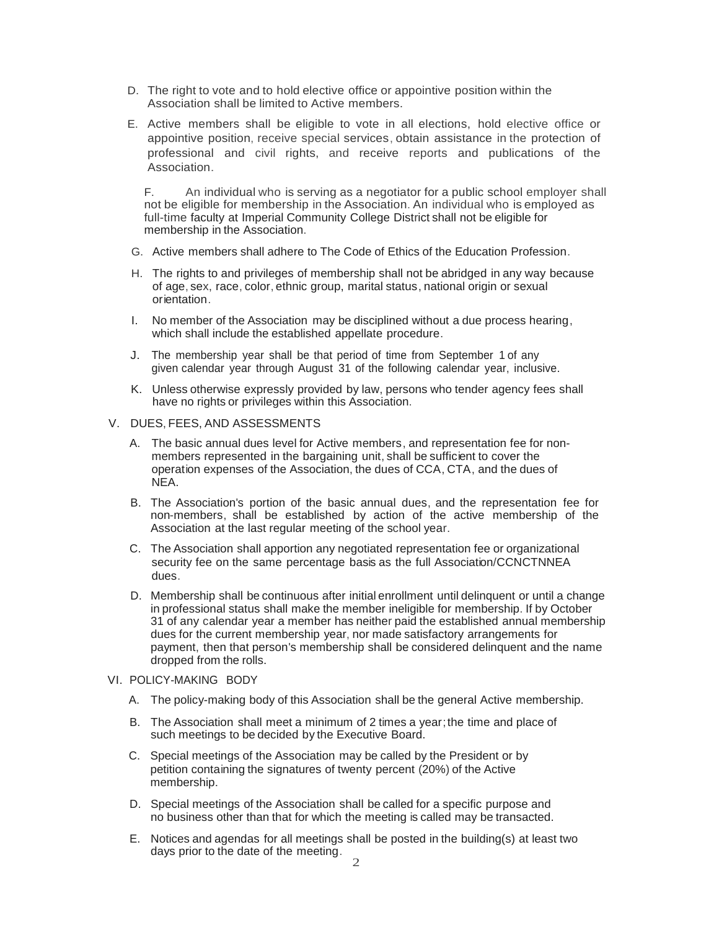- D. The right to vote and to hold elective office or appointive position within the Association shall be limited to Active members.
- E. Active members shall be eligible to vote in all elections, hold elective office or appointive position, receive special services, obtain assistance in the protection of professional and civil rights, and receive reports and publications of the Association.

F. An individual who is serving as a negotiator for a public school employer shall not be eligible for membership in the Association. An individual who is employed as full-time faculty at Imperial Community College District shall not be eligible for membership in the Association.

- G. Active members shall adhere to The Code of Ethics of the Education Profession.
- H. The rights to and privileges of membership shall not be abridged in any way because of age, sex, race, color, ethnic group, marital status, national origin or sexual orientation.
- I. No member of the Association may be disciplined without a due process hearing, which shall include the established appellate procedure.
- J. The membership year shall be that period of time from September 1 of any given calendar year through August 31 of the following calendar year, inclusive.
- K. Unless otherwise expressly provided by law, persons who tender agency fees shall have no rights or privileges within this Association.

## V. DUES, FEES, AND ASSESSMENTS

- A. The basic annual dues level for Active members, and representation fee for nonmembers represented in the bargaining unit, shall be sufficient to cover the operation expenses of the Association, the dues of CCA, CTA, and the dues of NEA.
- B. The Association's portion of the basic annual dues, and the representation fee for non-members, shall be established by action of the active membership of the Association at the last regular meeting of the school year.
- C. The Association shall apportion any negotiated representation fee or organizational security fee on the same percentage basis as the full Association/CCNCTNNEA dues.
- D. Membership shall be continuous after initial enrollment until delinquent or until a change in professional status shall make the member ineligible for membership. If by October 31 of any calendar year a member has neither paid the established annual membership dues for the current membership year, nor made satisfactory arrangements for payment, then that person's membership shall be considered delinquent and the name dropped from the rolls.
- VI. POLICY-MAKING BODY
	- A. The policy-making body of this Association shall be the general Active membership.
	- B. The Association shall meet a minimum of 2 times a year;the time and place of such meetings to be decided by the Executive Board.
	- C. Special meetings of the Association may be called by the President or by petition containing the signatures of twenty percent (20%) of the Active membership.
	- D. Special meetings of the Association shall be called for a specific purpose and no business other than that for which the meeting is called may be transacted.
	- E. Notices and agendas for all meetings shall be posted in the building(s) at least two days prior to the date of the meeting.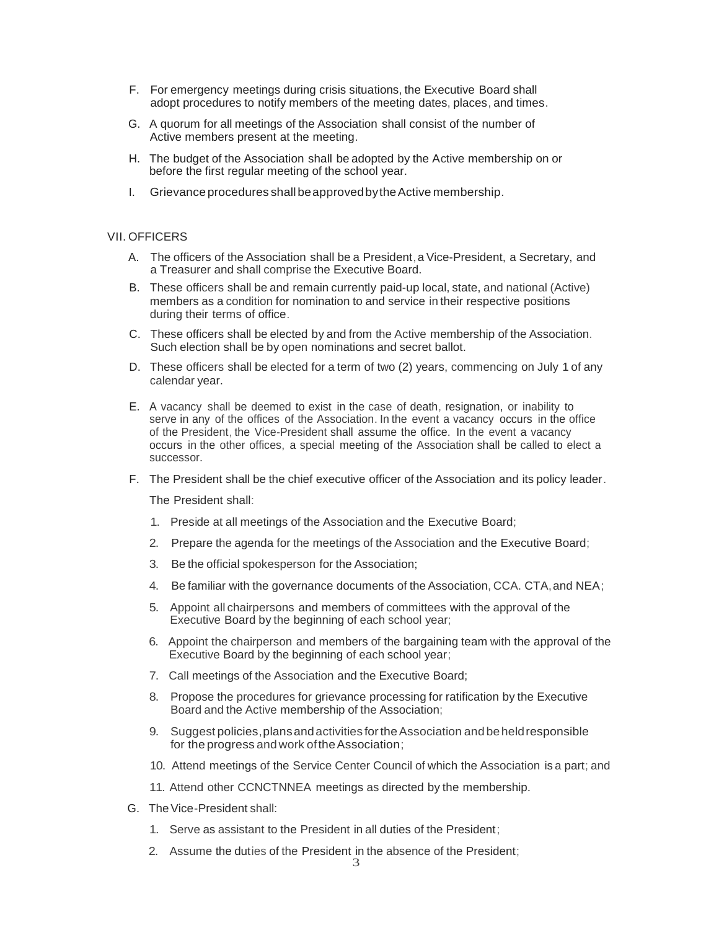- F. For emergency meetings during crisis situations, the Executive Board shall adopt procedures to notify members of the meeting dates, places, and times.
- G. A quorum for all meetings of the Association shall consist of the number of Active members present at the meeting.
- H. The budget of the Association shall be adopted by the Active membership on or before the first regular meeting of the school year.
- I. Grievance procedures shallbeapprovedbytheActive membership.

#### VII. OFFICERS

- A. The officers of the Association shall be a President, a Vice-President, a Secretary, and a Treasurer and shall comprise the Executive Board.
- B. These officers shall be and remain currently paid-up local, state, and national (Active) members as a condition for nomination to and service in their respective positions during their terms of office.
- C. These officers shall be elected by and from the Active membership of the Association. Such election shall be by open nominations and secret ballot.
- D. These officers shall be elected for a term of two (2) years, commencing on July 1 of any calendar year.
- E. A vacancy shall be deemed to exist in the case of death, resignation, or inability to serve in any of the offices of the Association. In the event a vacancy occurs in the office of the President, the Vice-President shall assume the office. In the event a vacancy occurs in the other offices, a special meeting of the Association shall be called to elect a successor.
- F. The President shall be the chief executive officer of the Association and its policy leader.

The President shall:

- 1. Preside at all meetings of the Association and the Executive Board;
- 2. Prepare the agenda for the meetings of the Association and the Executive Board;
- 3. Be the official spokesperson for the Association;
- 4. Be familiar with the governance documents of the Association, CCA. CTA,and NEA;
- 5. Appoint all chairpersons and members of committees with the approval of the Executive Board by the beginning of each school year;
- 6. Appoint the chairperson and members of the bargaining team with the approval of the Executive Board by the beginning of each school year;
- 7. Call meetings of the Association and the Executive Board;
- 8. Propose the procedures for grievance processing for ratification by the Executive Board and the Active membership of the Association;
- 9. Suggest policies,plansandactivities fortheAssociation and beheldresponsible for the progress and work of the Association;
- 10. Attend meetings of the Service Center Council of which the Association is a part; and
- 11. Attend other CCNCTNNEA meetings as directed by the membership.
- G. TheVice-President shall:
	- 1. Serve as assistant to the President in all duties of the President;
	- 2. Assume the duties of the President in the absence of the President;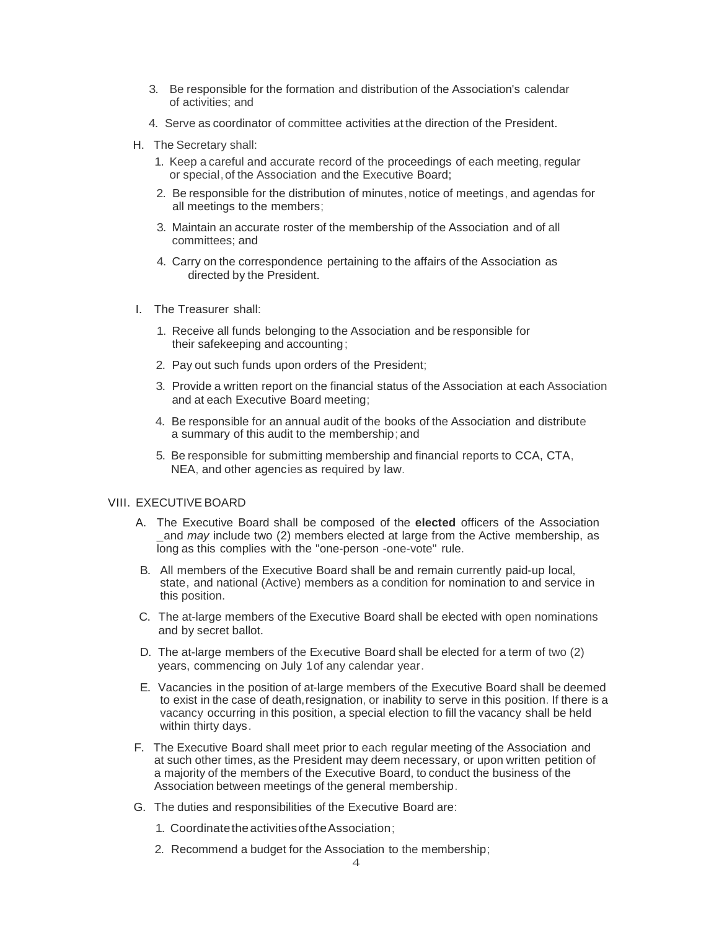- 3. Be responsible for the formation and distribution of the Association's calendar of activities; and
- 4. Serve as coordinator of committee activities at the direction of the President.
- H. The Secretary shall:
	- 1. Keep a careful and accurate record of the proceedings of each meeting, regular or special,of the Association and the Executive Board;
	- 2. Be responsible for the distribution of minutes, notice of meetings, and agendas for all meetings to the members;
	- 3. Maintain an accurate roster of the membership of the Association and of all committees; and
	- 4. Carry on the correspondence pertaining to the affairs of the Association as directed by the President.
- I. The Treasurer shall:
	- 1. Receive all funds belonging to the Association and be responsible for their safekeeping and accounting;
	- 2. Pay out such funds upon orders of the President;
	- 3. Provide a written report on the financial status of the Association at each Association and at each Executive Board meeting;
	- 4. Be responsible for an annual audit of the books of the Association and distribute a summary of this audit to the membership; and
	- 5. Be responsible for submitting membership and financial reports to CCA, CTA, NEA, and other agencies as required by law.

## VIII. EXECUTIVE BOARD

- A. The Executive Board shall be composed of the **elected** officers of the Association and *may* include two (2) members elected at large from the Active membership, as long as this complies with the "one-person -one-vote" rule.
- B. All members of the Executive Board shall be and remain currently paid-up local, state, and national (Active) members as a condition for nomination to and service in this position.
- C. The at-large members of the Executive Board shall be elected with open nominations and by secret ballot.
- D. The at-large members of the Executive Board shall be elected for a term of two (2) years, commencing on July 1of any calendar year.
- E. Vacancies in the position of at-large members of the Executive Board shall be deemed to exist in the case of death,resignation, or inability to serve in this position. If there is a vacancy occurring in this position, a special election to fill the vacancy shall be held within thirty days.
- F. The Executive Board shall meet prior to each regular meeting of the Association and at such other times, as the President may deem necessary, or upon written petition of a majority of the members of the Executive Board, to conduct the business of the Association between meetings of the general membership.
- G. The duties and responsibilities of the Executive Board are:
	- 1. CoordinatetheactivitiesoftheAssociation;
	- 2. Recommend a budget for the Association to the membership;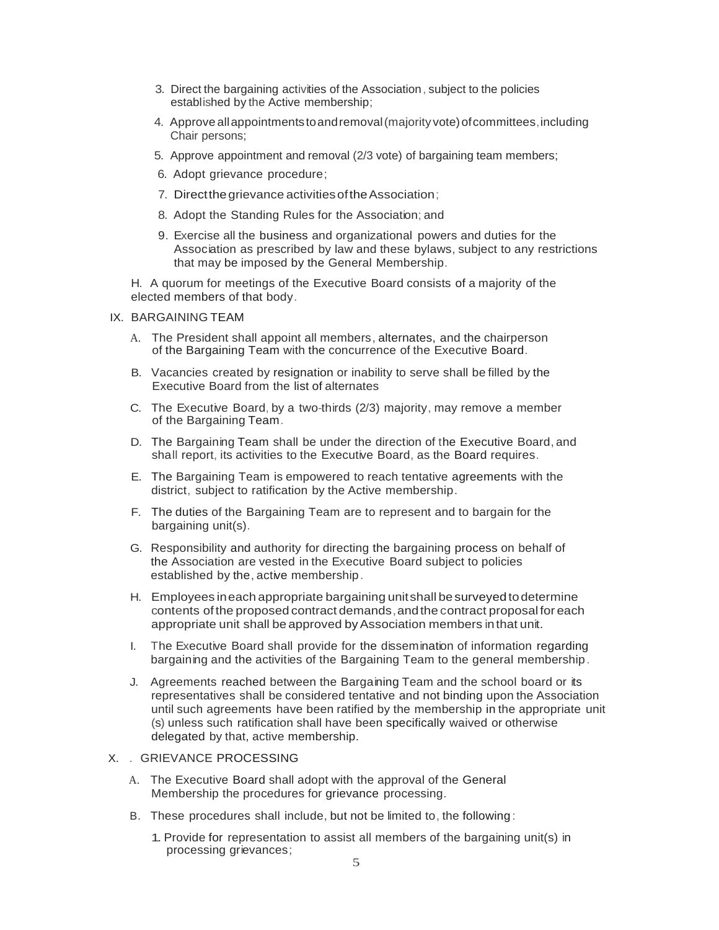- 3. Direct the bargaining activities of the Association, subject to the policies established by the Active membership;
- 4. Approve all appointments to and removal (majority vote) of committees, including Chair persons;
- 5. Approve appointment and removal (2/3 vote) of bargaining team members;
- 6. Adopt grievance procedure;
- 7. Direct the grievance activities of the Association;
- 8. Adopt the Standing Rules for the Association; and
- 9. Exercise all the business and organizational powers and duties for the Association as prescribed by law and these bylaws, subject to any restrictions that may be imposed by the General Membership.

H. A quorum for meetings of the Executive Board consists of a majority of the elected members of that body.

#### IX. BARGAINING TEAM

- A. The President shall appoint all members, alternates, and the chairperson of the Bargaining Team with the concurrence of the Executive Board.
- B. Vacancies created by resignation or inability to serve shall be filled by the Executive Board from the list of alternates
- C. The Executive Board, by a two-thirds (2/3) majority, may remove a member of the Bargaining Team.
- D. The Bargaining Team shall be under the direction of the Executive Board, and shall report, its activities to the Executive Board, as the Board requires.
- E. The Bargaining Team is empowered to reach tentative agreements with the district, subject to ratification by the Active membership.
- F. The duties of the Bargaining Team are to represent and to bargain for the bargaining unit(s).
- G. Responsibility and authority for directing the bargaining process on behalf of the Association are vested in the Executive Board subject to policies established by the, active membership.
- H. Employees ineach appropriate bargaining unitshall besurveyed todetermine contents of the proposed contract demands,andthe contract proposal for each appropriate unit shall be approved by Association members in that unit.
- I. The Executive Board shall provide for the dissemination of information regarding bargaining and the activities of the Bargaining Team to the general membership.
- J. Agreements reached between the Bargaining Team and the school board or its representatives shall be considered tentative and not binding upon the Association until such agreements have been ratified by the membership in the appropriate unit (s) unless such ratification shall have been specifically waived or otherwise delegated by that, active membership.

## X. . GRIEVANCE PROCESSING

- A. The Executive Board shall adopt with the approval of the General Membership the procedures for grievance processing.
- B. These procedures shall include, but not be limited to, the following :
	- 1. Provide for representation to assist all members of the bargaining unit(s) in processing grievances;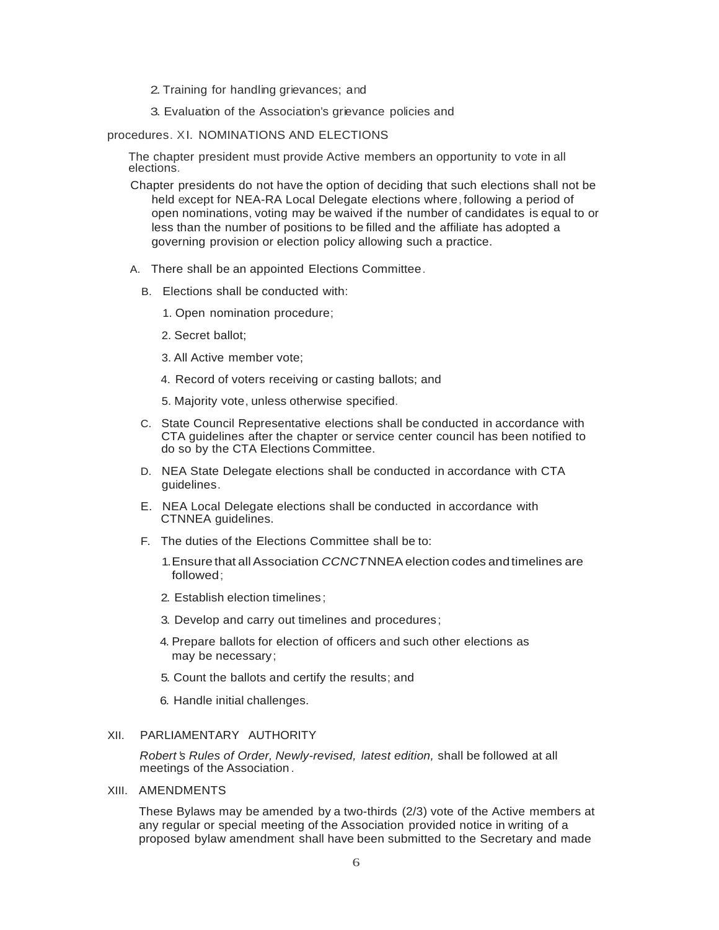- 2. Training for handling grievances; and
- 3. Evaluation of the Association's grievance policies and

procedures. XI. NOMINATIONS AND ELECTIONS

The chapter president must provide Active members an opportunity to vote in all elections.

- Chapter presidents do not have the option of deciding that such elections shall not be held except for NEA-RA Local Delegate elections where, following a period of open nominations, voting may be waived if the number of candidates is equal to or less than the number of positions to be filled and the affiliate has adopted a governing provision or election policy allowing such a practice.
- A. There shall be an appointed Elections Committee.
	- B. Elections shall be conducted with:
		- 1. Open nomination procedure;
		- 2. Secret ballot;
		- 3. All Active member vote;
		- 4. Record of voters receiving or casting ballots; and
		- 5. Majority vote, unless otherwise specified.
	- C. State Council Representative elections shall be conducted in accordance with CTA guidelines after the chapter or service center council has been notified to do so by the CTA Elections Committee.
	- D. NEA State Delegate elections shall be conducted in accordance with CTA guidelines.
	- E. NEA Local Delegate elections shall be conducted in accordance with CTNNEA guidelines.
	- F. The duties of the Elections Committee shall be to:
		- 1.Ensure that allAssociation *CCNCT*NNEAelection codes andtimelines are followed;
		- 2. Establish election timelines ;
		- 3. Develop and carry out timelines and procedures;
		- 4. Prepare ballots for election of officers and such other elections as may be necessary;
		- 5. Count the ballots and certify the results; and
		- 6. Handle initial challenges.

#### XII. PARLIAMENTARY AUTHORITY

*Robert 's Rules of Order, Newly-revised, latest edition,* shall be followed at all meetings of the Association .

XIII. AMENDMENTS

These Bylaws may be amended by a two-thirds (2/3) vote of the Active members at any regular or special meeting of the Association provided notice in writing of a proposed bylaw amendment shall have been submitted to the Secretary and made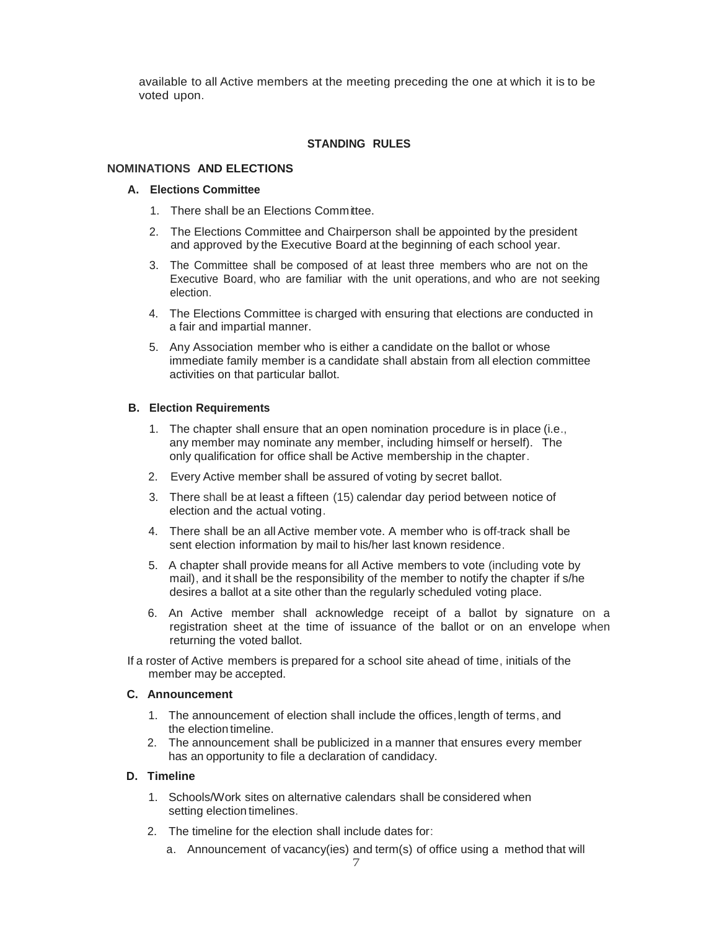available to all Active members at the meeting preceding the one at which it is to be voted upon.

## **STANDING RULES**

### **NOMINATIONS AND ELECTIONS**

#### **A. Elections Committee**

- 1. There shall be an Elections Committee.
- 2. The Elections Committee and Chairperson shall be appointed by the president and approved by the Executive Board at the beginning of each school year.
- 3. The Committee shall be composed of at least three members who are not on the Executive Board, who are familiar with the unit operations, and who are not seeking election.
- 4. The Elections Committee is charged with ensuring that elections are conducted in a fair and impartial manner.
- 5. Any Association member who is either a candidate on the ballot or whose immediate family member is a candidate shall abstain from all election committee activities on that particular ballot.

#### **B. Election Requirements**

- 1. The chapter shall ensure that an open nomination procedure is in place (i.e., any member may nominate any member, including himself or herself). The only qualification for office shall be Active membership in the chapter.
- 2. Every Active member shall be assured of voting by secret ballot.
- 3. There shall be at least a fifteen (15) calendar day period between notice of election and the actual voting.
- 4. There shall be an all Active member vote. A member who is off-track shall be sent election information by mail to his/her last known residence.
- 5. A chapter shall provide means for all Active members to vote (including vote by mail), and it shall be the responsibility of the member to notify the chapter if s/he desires a ballot at a site other than the regularly scheduled voting place.
- 6. An Active member shall acknowledge receipt of a ballot by signature on a registration sheet at the time of issuance of the ballot or on an envelope when returning the voted ballot.
- If a roster of Active members is prepared for a school site ahead of time, initials of the member may be accepted.

### **C. Announcement**

- 1. The announcement of election shall include the offices,length of terms, and the election timeline.
- 2. The announcement shall be publicized in a manner that ensures every member has an opportunity to file a declaration of candidacy.

## **D. Timeline**

- 1. Schools/Work sites on alternative calendars shall be considered when setting election timelines.
- 2. The timeline for the election shall include dates for:
	- a. Announcement of vacancy(ies) and term(s) of office using a method that will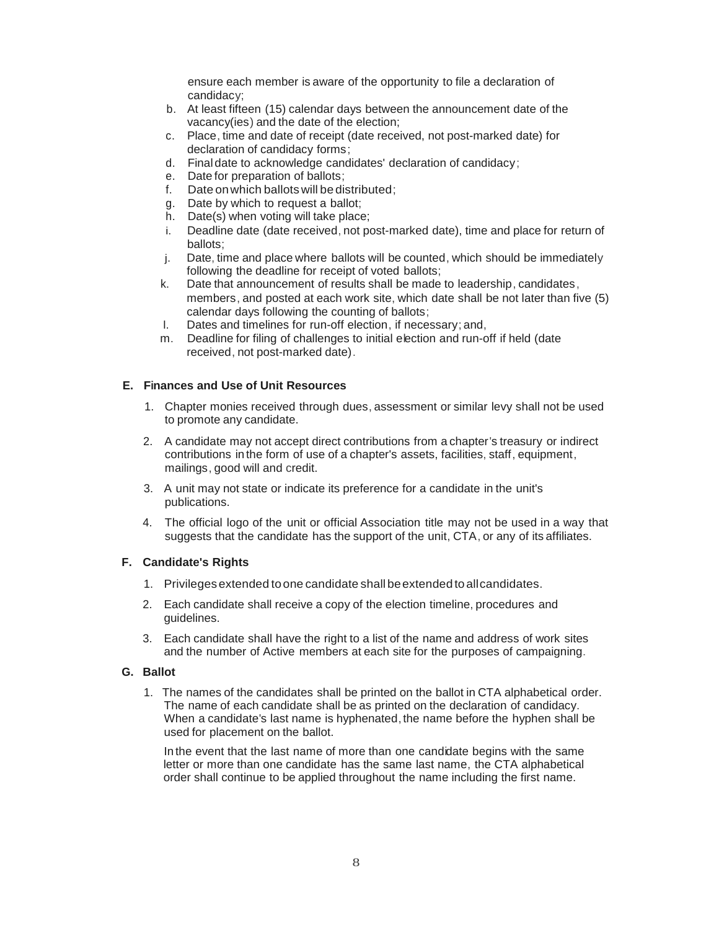ensure each member is aware of the opportunity to file a declaration of candidacy;

- b. At least fifteen (15) calendar days between the announcement date of the vacancy(ies) and the date of the election;
- c. Place, time and date of receipt (date received, not post-marked date) for declaration of candidacy forms;
- d. Final date to acknowledge candidates' declaration of candidacy;
- e. Date for preparation of ballots;
- f. Date on which ballots will be distributed:
- g. Date by which to request a ballot;
- h. Date(s) when voting will take place;
- i. Deadline date (date received, not post-marked date), time and place for return of ballots;
- j. Date, time and place where ballots will be counted, which should be immediately following the deadline for receipt of voted ballots;
- k. Date that announcement of results shall be made to leadership, candidates, members, and posted at each work site, which date shall be not later than five (5) calendar days following the counting of ballots;
- I. Dates and timelines for run-off election, if necessary; and,
- m. Deadline for filing of challenges to initial election and run-off if held (date received, not post-marked date).

# **E. Finances and Use of Unit Resources**

- 1. Chapter monies received through dues, assessment or similar levy shall not be used to promote any candidate.
- 2. A candidate may not accept direct contributions from a chapter's treasury or indirect contributions in the form of use of a chapter's assets, facilities, staff, equipment, mailings, good will and credit.
- 3. A unit may not state or indicate its preference for a candidate in the unit's publications.
- 4. The official logo of the unit or official Association title may not be used in a way that suggests that the candidate has the support of the unit, CTA, or any of its affiliates.

## **F. Candidate's Rights**

- 1. Privileges extended toone candidate shall beextended toallcandidates.
- 2. Each candidate shall receive a copy of the election timeline, procedures and guidelines.
- 3. Each candidate shall have the right to a list of the name and address of work sites and the number of Active members at each site for the purposes of campaigning.

## **G. Ballot**

1. The names of the candidates shall be printed on the ballot in CTA alphabetical order. The name of each candidate shall be as printed on the declaration of candidacy. When a candidate's last name is hyphenated, the name before the hyphen shall be used for placement on the ballot.

In the event that the last name of more than one candidate begins with the same letter or more than one candidate has the same last name, the CTA alphabetical order shall continue to be applied throughout the name including the first name.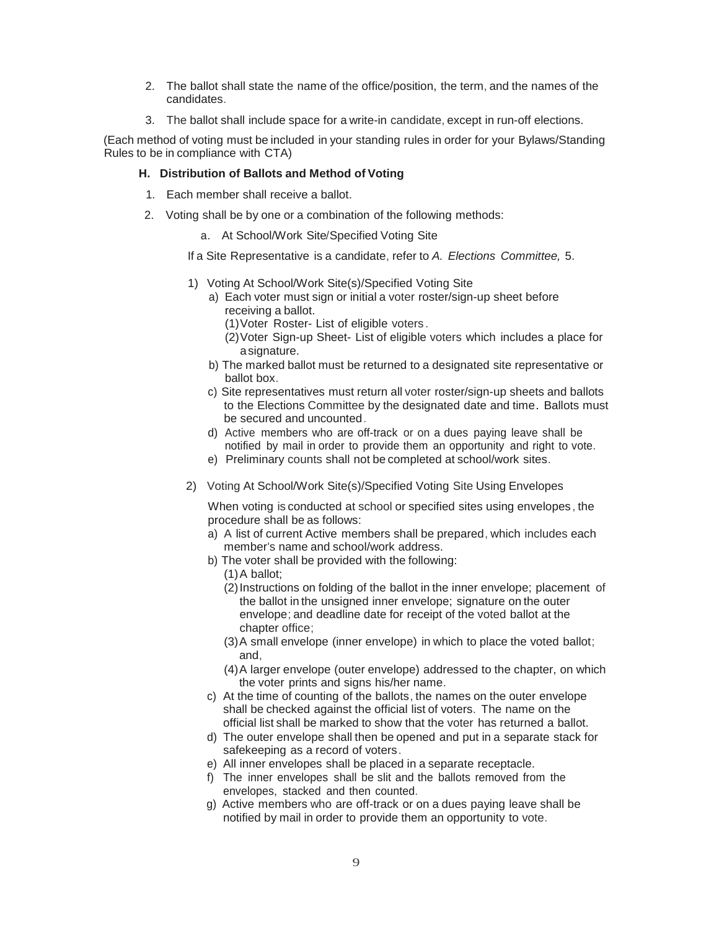- 2. The ballot shall state the name of the office/position, the term, and the names of the candidates.
- 3. The ballot shall include space for a write-in candidate, except in run-off elections.

(Each method of voting must be included in your standing rules in order for your Bylaws/Standing Rules to be in compliance with CTA)

# **H. Distribution of Ballots and Method of Voting**

- 1. Each member shall receive a ballot.
- 2. Voting shall be by one or a combination of the following methods:
	- a. At School/Work Site/Specified Voting Site

If a Site Representative is a candidate, refer to *A. Elections Committee,* 5.

- 1) Voting At School/Work Site(s)/Specified Voting Site
	- a) Each voter must sign or initial a voter roster/sign-up sheet before receiving a ballot.
		- (1)Voter Roster- List of eligible voters .
		- (2)Voter Sign-up Sheet- List of eligible voters which includes a place for asignature.
	- b) The marked ballot must be returned to a designated site representative or ballot box.
	- c) Site representatives must return all voter roster/sign-up sheets and ballots to the Elections Committee by the designated date and time. Ballots must be secured and uncounted.
	- d) Active members who are off-track or on a dues paying leave shall be notified by mail in order to provide them an opportunity and right to vote.
	- e) Preliminary counts shall not be completed at school/work sites.
- 2) Voting At School/Work Site(s)/Specified Voting Site Using Envelopes

When voting is conducted at school or specified sites using envelopes , the procedure shall be as follows:

- a) A list of current Active members shall be prepared, which includes each member's name and school/work address.
- b) The voter shall be provided with the following:
	- (1)A ballot;
	- (2)Instructions on folding of the ballot in the inner envelope; placement of the ballot in the unsigned inner envelope; signature on the outer envelope; and deadline date for receipt of the voted ballot at the chapter office;
	- (3)A small envelope (inner envelope) in which to place the voted ballot; and,
	- (4)A larger envelope (outer envelope) addressed to the chapter, on which the voter prints and signs his/her name.
- c) At the time of counting of the ballots, the names on the outer envelope shall be checked against the official list of voters. The name on the official list shall be marked to show that the voter has returned a ballot.
- d) The outer envelope shall then be opened and put in a separate stack for safekeeping as a record of voters.
- e) All inner envelopes shall be placed in a separate receptacle.
- f) The inner envelopes shall be slit and the ballots removed from the envelopes, stacked and then counted.
- g) Active members who are off-track or on a dues paying leave shall be notified by mail in order to provide them an opportunity to vote.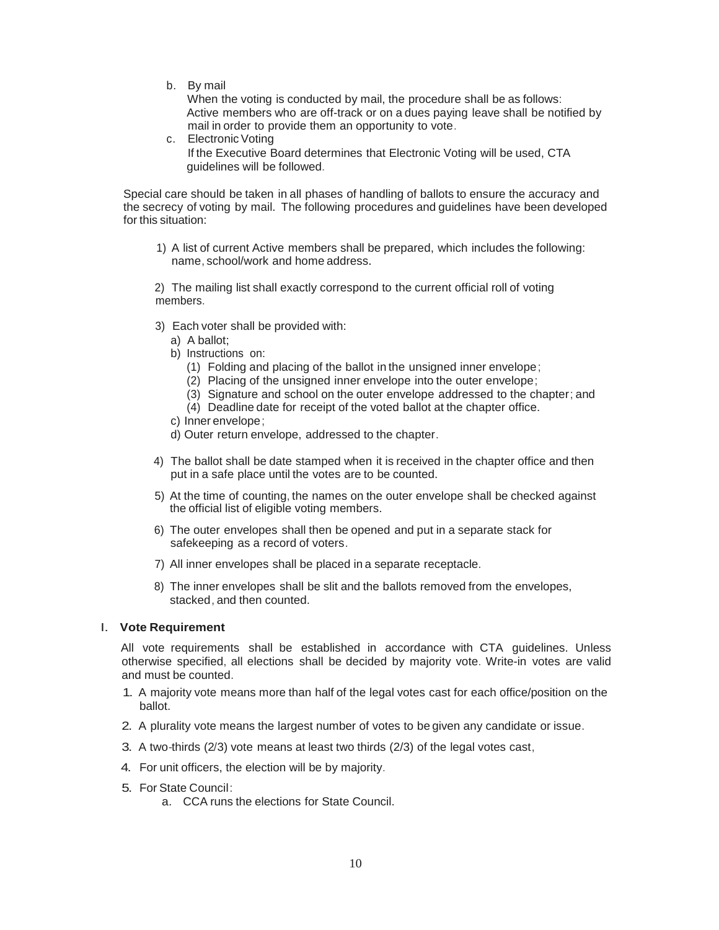b. By mail

When the voting is conducted by mail, the procedure shall be as follows: Active members who are off-track or on a dues paying leave shall be notified by mail in order to provide them an opportunity to vote.

c. Electronic Voting If the Executive Board determines that Electronic Voting will be used, CTA guidelines will be followed.

Special care should be taken in all phases of handling of ballots to ensure the accuracy and the secrecy of voting by mail. The following procedures and guidelines have been developed for this situation:

1) A list of current Active members shall be prepared, which includes the following: name, school/work and home address.

2) The mailing list shall exactly correspond to the current official roll of voting members.

- 3) Each voter shall be provided with:
	- a) A ballot;
	- b) Instructions on:
		- (1) Folding and placing of the ballot in the unsigned inner envelope;
		- (2) Placing of the unsigned inner envelope into the outer envelope;
		- (3) Signature and school on the outer envelope addressed to the chapter; and
		- (4) Deadline date for receipt of the voted ballot at the chapter office.
	- c) Inner envelope;
	- d) Outer return envelope, addressed to the chapter.
- 4) The ballot shall be date stamped when it is received in the chapter office and then put in a safe place until the votes are to be counted.
- 5) At the time of counting, the names on the outer envelope shall be checked against the official list of eligible voting members.
- 6) The outer envelopes shall then be opened and put in a separate stack for safekeeping as a record of voters.
- 7) All inner envelopes shall be placed in a separate receptacle.
- 8) The inner envelopes shall be slit and the ballots removed from the envelopes, stacked, and then counted.

## I. **Vote Requirement**

All vote requirements shall be established in accordance with CTA guidelines. Unless otherwise specified, all elections shall be decided by majority vote. Write-in votes are valid and must be counted.

- 1. A majority vote means more than half of the legal votes cast for each office/position on the ballot.
- 2. A plurality vote means the largest number of votes to be given any candidate or issue.
- 3. A two-thirds (2/3) vote means at least two thirds (2/3) of the legal votes cast,
- 4. For unit officers, the election will be by majority.
- 5. For State Council:
	- a. CCA runs the elections for State Council.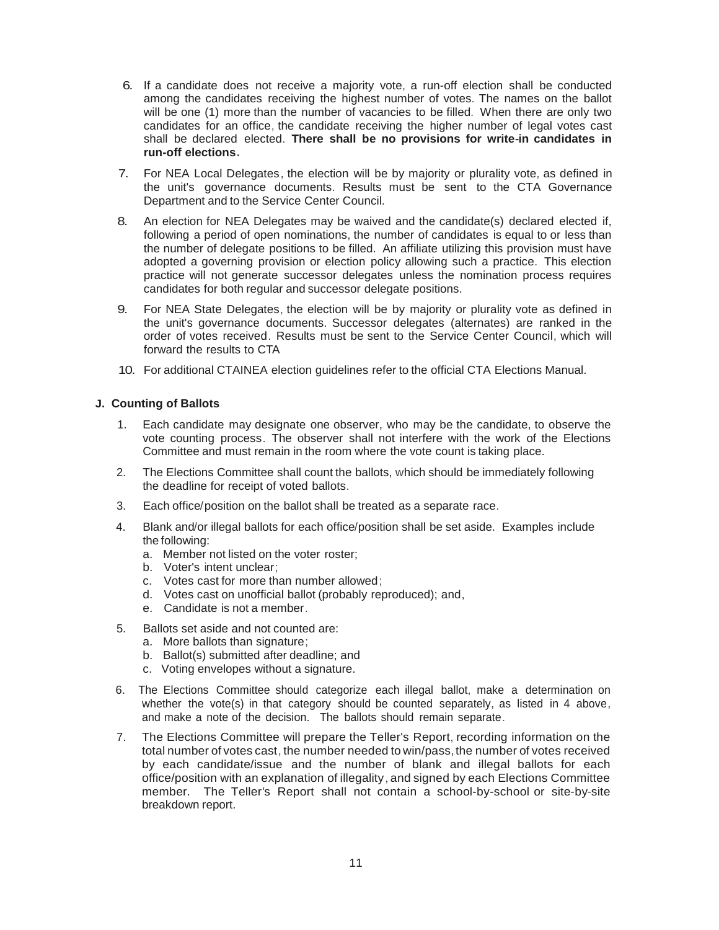- 6. If a candidate does not receive a majority vote, a run-off election shall be conducted among the candidates receiving the highest number of votes. The names on the ballot will be one (1) more than the number of vacancies to be filled. When there are only two candidates for an office, the candidate receiving the higher number of legal votes cast shall be declared elected. **There shall be no provisions for write-in candidates in run-off elections.**
- 7. For NEA Local Delegates, the election will be by majority or plurality vote, as defined in the unit's governance documents. Results must be sent to the CTA Governance Department and to the Service Center Council.
- 8. An election for NEA Delegates may be waived and the candidate(s) declared elected if, following a period of open nominations, the number of candidates is equal to or less than the number of delegate positions to be filled. An affiliate utilizing this provision must have adopted a governing provision or election policy allowing such a practice. This election practice will not generate successor delegates unless the nomination process requires candidates for both regular and successor delegate positions.
- 9. For NEA State Delegates, the election will be by majority or plurality vote as defined in the unit's governance documents. Successor delegates (alternates) are ranked in the order of votes received. Results must be sent to the Service Center Council, which will forward the results to CTA
- 10. For additional CTAINEA election guidelines refer to the official CTA Elections Manual.

## **J. Counting of Ballots**

- 1. Each candidate may designate one observer, who may be the candidate, to observe the vote counting process. The observer shall not interfere with the work of the Elections Committee and must remain in the room where the vote count is taking place.
- 2. The Elections Committee shall count the ballots, which should be immediately following the deadline for receipt of voted ballots.
- 3. Each office/position on the ballot shall be treated as a separate race.
- 4. Blank and/or illegal ballots for each office/position shall be set aside. Examples include the following:
	- a. Member not listed on the voter roster;
	- b. Voter's intent unclear;
	- c. Votes cast for more than number allowed;
	- d. Votes cast on unofficial ballot (probably reproduced); and,
	- e. Candidate is not a member.
- 5. Ballots set aside and not counted are:
	- a. More ballots than signature;
	- b. Ballot(s) submitted after deadline; and
	- c. Voting envelopes without a signature.
- 6. The Elections Committee should categorize each illegal ballot, make a determination on whether the vote(s) in that category should be counted separately, as listed in 4 above, and make a note of the decision. The ballots should remain separate.
- 7. The Elections Committee will prepare the Teller's Report, recording information on the total number of votes cast, the number needed to win/pass,the number of votes received by each candidate/issue and the number of blank and illegal ballots for each office/position with an explanation of illegality, and signed by each Elections Committee member. The Teller's Report shall not contain a school-by-school or site-by-site breakdown report.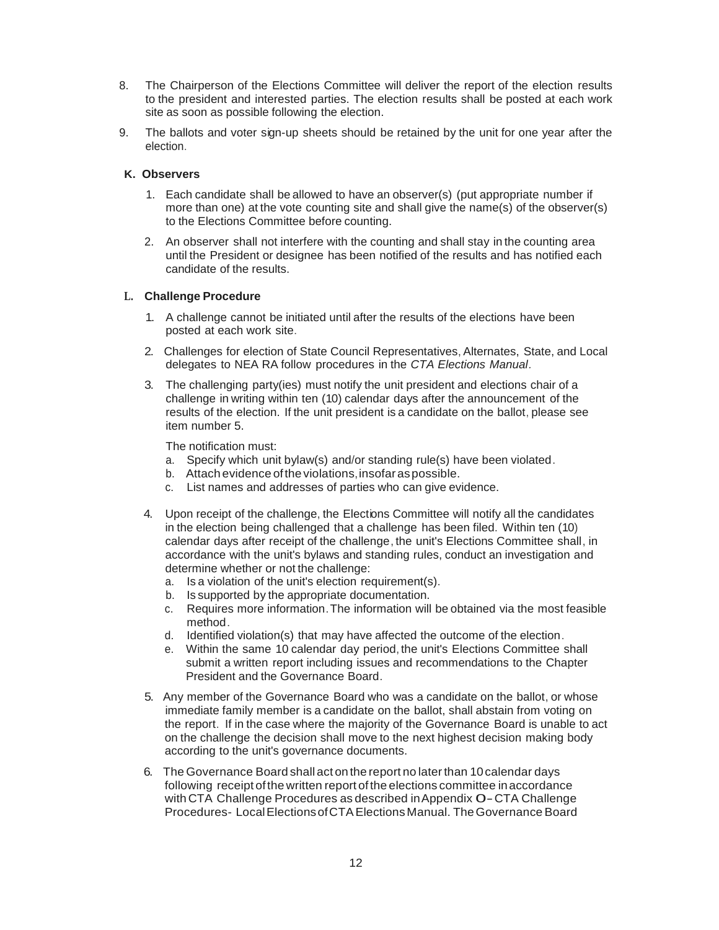- 8. The Chairperson of the Elections Committee will deliver the report of the election results to the president and interested parties. The election results shall be posted at each work site as soon as possible following the election.
- 9. The ballots and voter sign-up sheets should be retained by the unit for one year after the election.

# **K. Observers**

- 1. Each candidate shall be allowed to have an observer(s) (put appropriate number if more than one) at the vote counting site and shall give the name(s) of the observer(s) to the Elections Committee before counting.
- 2. An observer shall not interfere with the counting and shall stay in the counting area until the President or designee has been notified of the results and has notified each candidate of the results.

# **L. Challenge Procedure**

- 1. A challenge cannot be initiated until after the results of the elections have been posted at each work site.
- 2. Challenges for election of State Council Representatives, Alternates, State, and Local delegates to NEA RA follow procedures in the *CTA Elections Manual.*
- 3. The challenging party(ies) must notify the unit president and elections chair of a challenge in writing within ten (10) calendar days after the announcement of the results of the election. If the unit president is a candidate on the ballot, please see item number 5.

The notification must:

- a. Specify which unit bylaw(s) and/or standing rule(s) have been violated.
- b. Attach evidence oftheviolations,insofaraspossible.
- c. List names and addresses of parties who can give evidence.
- 4. Upon receipt of the challenge, the Elections Committee will notify all the candidates in the election being challenged that a challenge has been filed. Within ten (10) calendar days after receipt of the challenge, the unit's Elections Committee shall, in accordance with the unit's bylaws and standing rules, conduct an investigation and determine whether or not the challenge:
	- a. Is a violation of the unit's election requirement(s).
	- b. Is supported by the appropriate documentation.
	- c. Requires more information.The information will be obtained via the most feasible method.
	- d. Identified violation(s) that may have affected the outcome of the election.
	- e. Within the same 10 calendar day period, the unit's Elections Committee shall submit a written report including issues and recommendations to the Chapter President and the Governance Board.
- 5. Any member of the Governance Board who was a candidate on the ballot, or whose immediate family member is a candidate on the ballot, shall abstain from voting on the report. If in the case where the majority of the Governance Board is unable to act on the challenge the decision shall move to the next highest decision making body according to the unit's governance documents.
- 6. The Governance Board shall act onthe report no laterthan 10calendar days following receipt of the written report of the elections committee in accordance with CTA Challenge Procedures as described in Appendix O - CTA Challenge Procedures- Local Elections of CTA Elections Manual. The Governance Board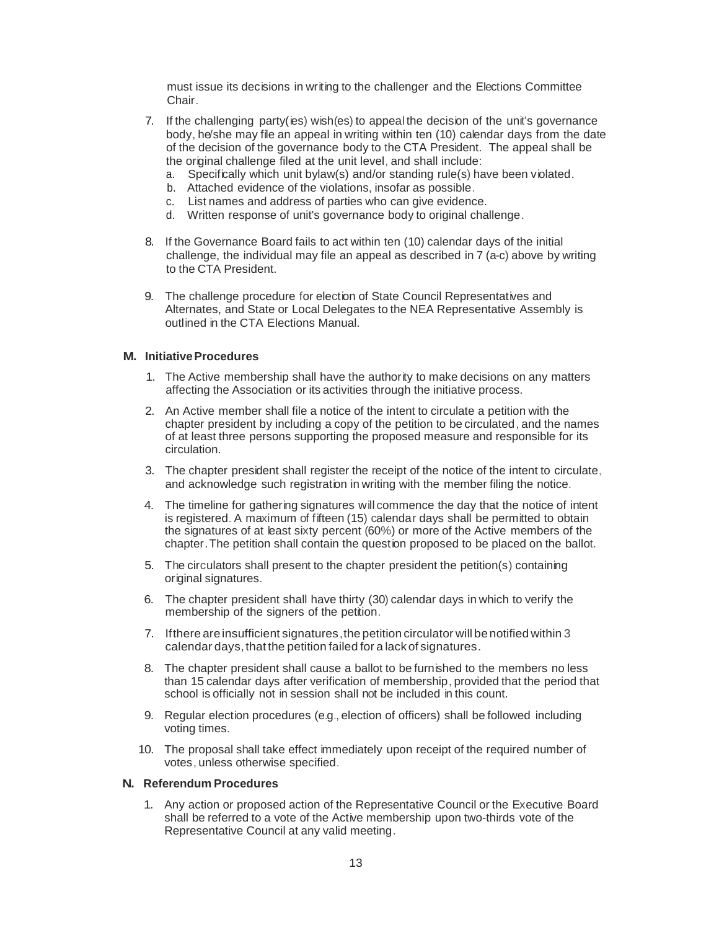must issue its decisions in writing to the challenger and the Elections Committee Chair.

- 7. If the challenging party(ies) wish(es) to appealthe decision of the unit's governance body, he/she may file an appeal in writing within ten (10) calendar days from the date of the decision of the governance body to the CTA President. The appeal shall be the original challenge filed at the unit level, and shall include:
	- a. Specifically which unit bylaw(s) and/or standing rule(s) have been violated.
	- b. Attached evidence of the violations, insofar as possible.
	- c. List names and address of parties who can give evidence.
	- d. Written response of unit's governance body to original challenge.
- 8. If the Governance Board fails to act within ten (10) calendar days of the initial challenge, the individual may file an appeal as described in 7 (a-c) above by writing to the CTA President.
- 9. The challenge procedure for election of State Council Representatives and Alternates, and State or Local Delegates to the NEA Representative Assembly is outlined in the CTA Elections Manual.

### **M. InitiativeProcedures**

- 1. The Active membership shall have the authority to make decisions on any matters affecting the Association or its activities through the initiative process.
- 2. An Active member shall file a notice of the intent to circulate a petition with the chapter president by including a copy of the petition to be circulated, and the names of at least three persons supporting the proposed measure and responsible for its circulation.
- 3. The chapter president shall register the receipt of the notice of the intent to circulate, and acknowledge such registration in writing with the member filing the notice.
- 4. The timeline for gathering signatures will commence the day that the notice of intent is registered. A maximum of fifteen (15) calendar days shall be permitted to obtain the signatures of at least sixty percent (60%) or more of the Active members of the chapter.The petition shall contain the question proposed to be placed on the ballot.
- 5. The circulators shall present to the chapter president the petition(s) containing original signatures.
- 6. The chapter president shall have thirty (30) calendar days in which to verify the membership of the signers of the petition.
- 7. If there are insufficient signatures, the petition circulator will be notified within 3 calendar days, that the petition failed for a lack of signatures.
- 8. The chapter president shall cause a ballot to be furnished to the members no less than 15 calendar days after verification of membership, provided that the period that school is officially not in session shall not be included in this count.
- 9. Regular election procedures (e.g., election of officers) shall be followed including voting times.
- 10. The proposal shall take effect immediately upon receipt of the required number of votes, unless otherwise specified.

#### **N. Referendum Procedures**

1. Any action or proposed action of the Representative Council or the Executive Board shall be referred to a vote of the Active membership upon two-thirds vote of the Representative Council at any valid meeting.